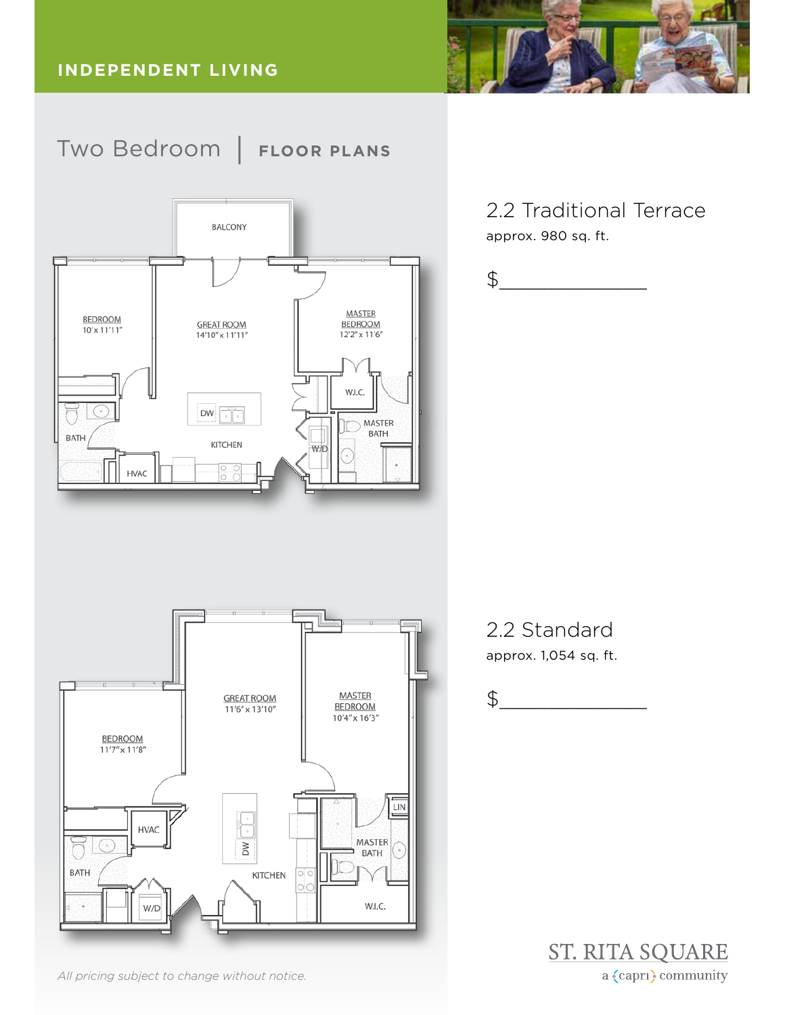



2.2 Traditional Terrace approx. 980 sq. ft.



# 2.2 Standard approx. 1,054 sq. ft.

$$
\texttt{\$}\_\_
$$





*All pricing subject to change without notice.*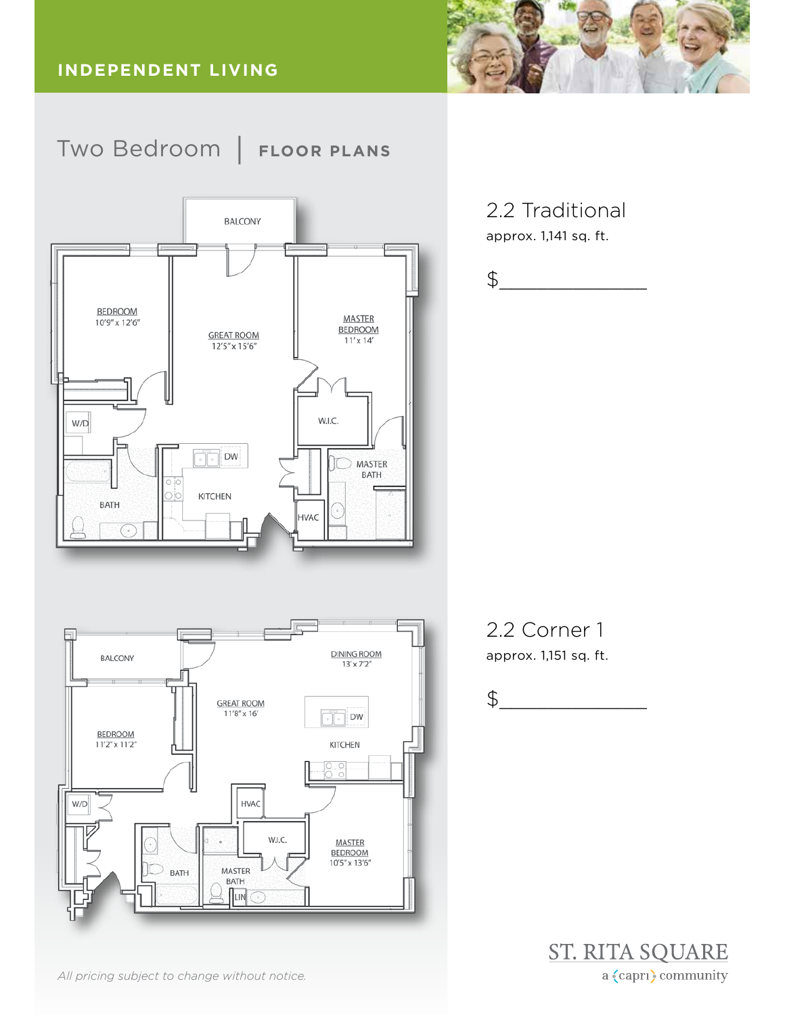



**DINING ROOM** BALCONY  $13' \times 7'2''$ **GREAT ROOM**  $11'8'' \times 16'$  $\parallel$  DW **BEDROOM** 11'2" x 11'2" **KITCHEN**  $\frac{2}{10}$ HVAC  $W/D$ W.I.C. **MASTER BEDROOM** 10'5" x 13'6" MASTER  $\Box$  Bath BATH  $\sqrt{\frac{1}{2}}$ 

*All pricing subject to change without notice.*

2.2 Traditional

approx. 1,141 sq. ft.



2.2 Corner 1 approx. 1,151 sq. ft.

$$
\texttt{\$}\_\_
$$

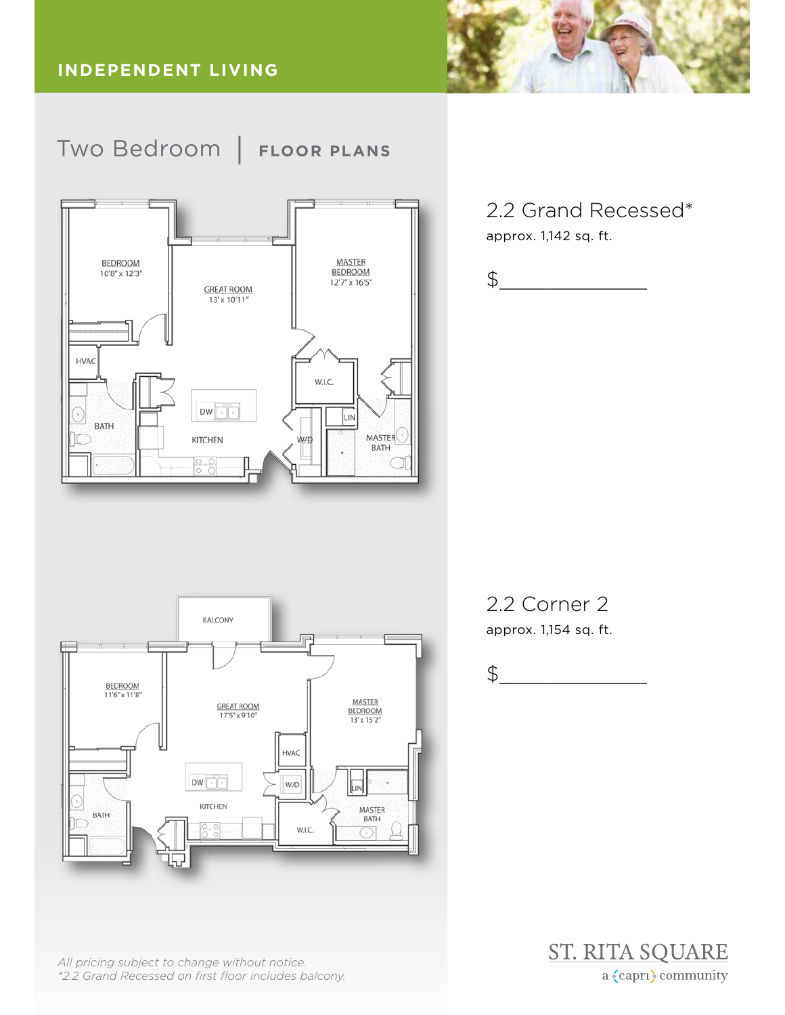

2.2 Grand Recessed\* approx. 1,142 sq. ft.

$$
\texttt{\$}\_\_
$$



approx. 1,154 sq. ft.

$$
\texttt{\$}\_\_
$$





*All pricing subject to change without notice. \*2.2 Grand Recessed on first floor includes balcony.*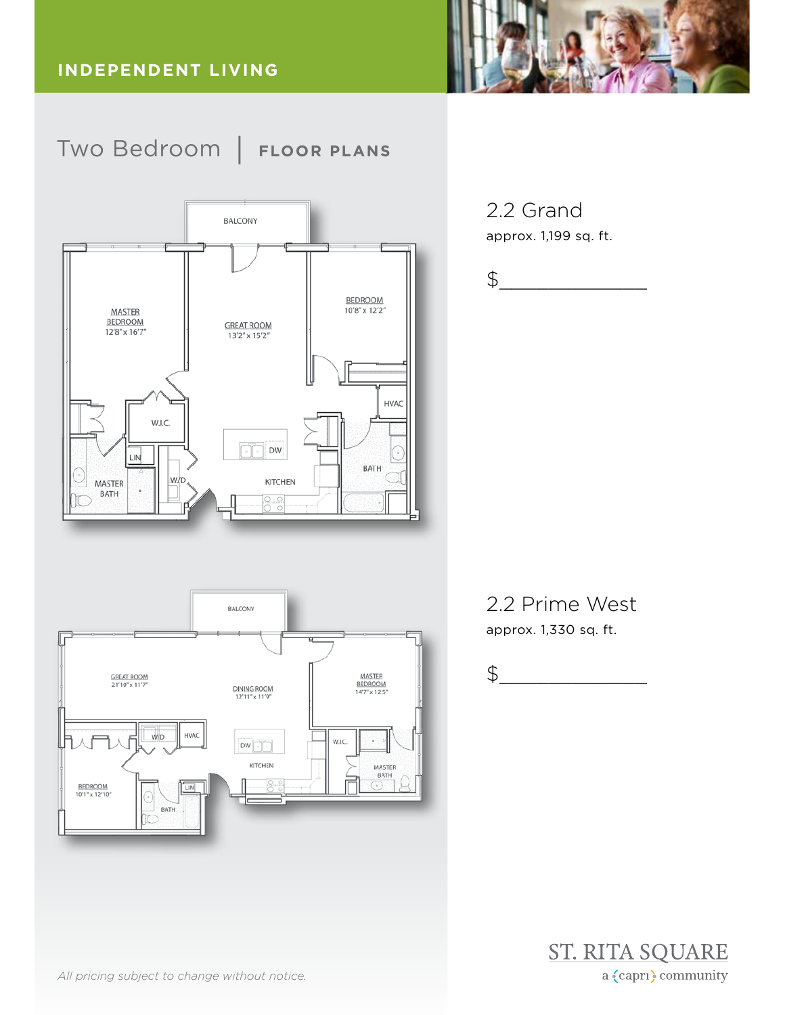





2.2 Grand approx. 1,199 sq. ft.

$$
\texttt{\$}\_\_
$$

2.2 Prime West approx. 1,330 sq. ft.

$$
\texttt{\$}\_\_
$$



*All pricing subject to change without notice.*